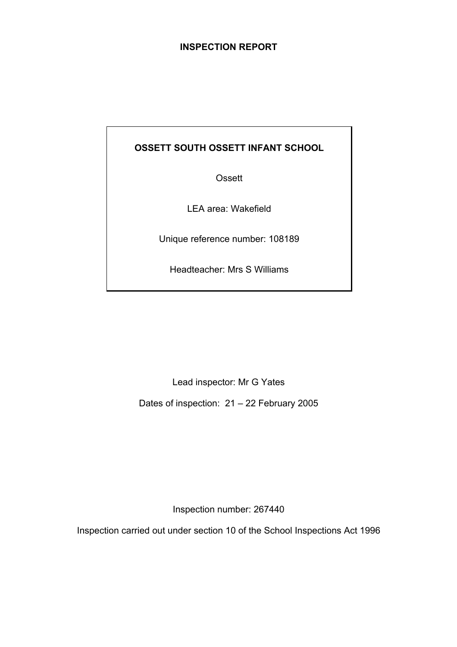# **INSPECTION REPORT**

# **OSSETT SOUTH OSSETT INFANT SCHOOL**

**Ossett** 

LEA area: Wakefield

Unique reference number: 108189

Headteacher: Mrs S Williams

Lead inspector: Mr G Yates

Dates of inspection: 21 – 22 February 2005

Inspection number: 267440

Inspection carried out under section 10 of the School Inspections Act 1996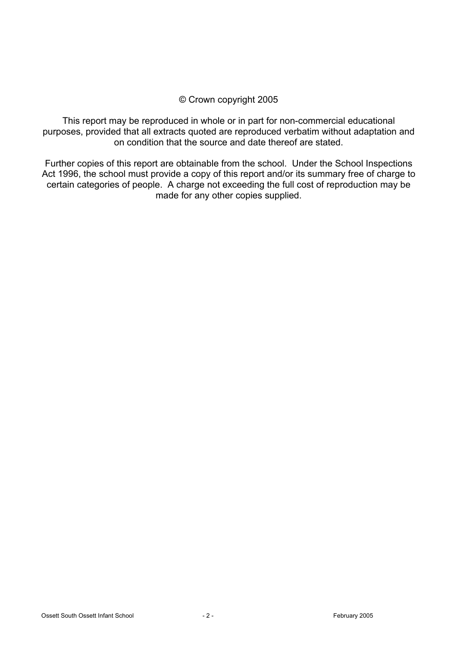# © Crown copyright 2005

This report may be reproduced in whole or in part for non-commercial educational purposes, provided that all extracts quoted are reproduced verbatim without adaptation and on condition that the source and date thereof are stated.

Further copies of this report are obtainable from the school. Under the School Inspections Act 1996, the school must provide a copy of this report and/or its summary free of charge to certain categories of people. A charge not exceeding the full cost of reproduction may be made for any other copies supplied.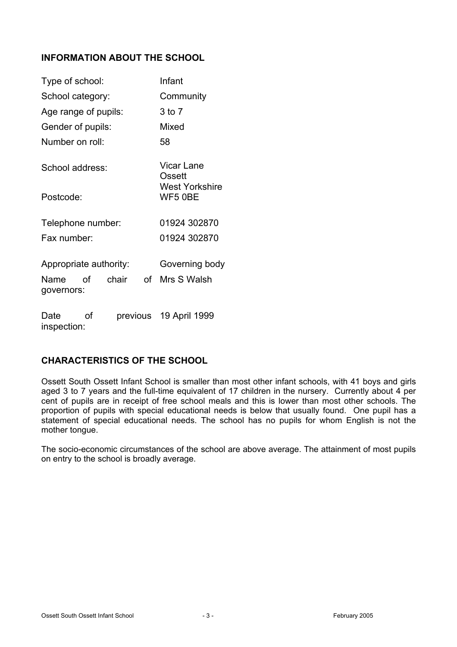# **INFORMATION ABOUT THE SCHOOL**

| Type of school:           |       |    | Infant                    |  |
|---------------------------|-------|----|---------------------------|--|
| School category:          |       |    | Community                 |  |
| Age range of pupils:      |       |    | 3 to 7                    |  |
| Gender of pupils:         |       |    | Mixed                     |  |
| Number on roll:           |       |    | 58                        |  |
| School address:           |       |    | Vicar Lane<br>Ossett      |  |
| Postcode:                 |       |    | West Yorkshire<br>WF5 0BE |  |
| Telephone number:         |       |    | 01924 302870              |  |
| Fax number:               |       |    | 01924 302870              |  |
| Appropriate authority:    |       |    | Governing body            |  |
| οf<br>Name<br>governors:  | chair | of | Mrs S Walsh               |  |
| Date<br>Ωf<br>inspection: |       |    | previous 19 April 1999    |  |

### **CHARACTERISTICS OF THE SCHOOL**

Ossett South Ossett Infant School is smaller than most other infant schools, with 41 boys and girls aged 3 to 7 years and the full-time equivalent of 17 children in the nursery. Currently about 4 per cent of pupils are in receipt of free school meals and this is lower than most other schools. The proportion of pupils with special educational needs is below that usually found. One pupil has a statement of special educational needs. The school has no pupils for whom English is not the mother tongue.

The socio-economic circumstances of the school are above average. The attainment of most pupils on entry to the school is broadly average.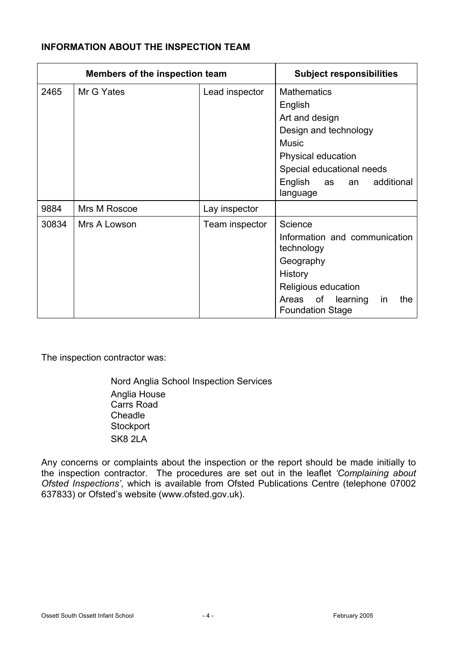# **INFORMATION ABOUT THE INSPECTION TEAM**

| <b>Members of the inspection team</b> |              | <b>Subject responsibilities</b> |                                                                                                                                                                                           |
|---------------------------------------|--------------|---------------------------------|-------------------------------------------------------------------------------------------------------------------------------------------------------------------------------------------|
| 2465                                  | Mr G Yates   | Lead inspector                  | <b>Mathematics</b><br>English<br>Art and design<br>Design and technology<br><b>Music</b><br>Physical education<br>Special educational needs<br>English as<br>additional<br>an<br>language |
| 9884                                  | Mrs M Roscoe | Lay inspector                   |                                                                                                                                                                                           |
| 30834                                 | Mrs A Lowson | Team inspector                  | Science<br>Information and communication<br>technology<br>Geography<br>History<br>Religious education<br>of<br>learning<br>Areas<br>the<br>in<br><b>Foundation Stage</b>                  |

The inspection contractor was:

Nord Anglia School Inspection Services Anglia House Carrs Road **Cheadle Stockport** SK8 2LA

Any concerns or complaints about the inspection or the report should be made initially to the inspection contractor. The procedures are set out in the leaflet *'Complaining about Ofsted Inspections'*, which is available from Ofsted Publications Centre (telephone 07002 637833) or Ofsted's website (www.ofsted.gov.uk).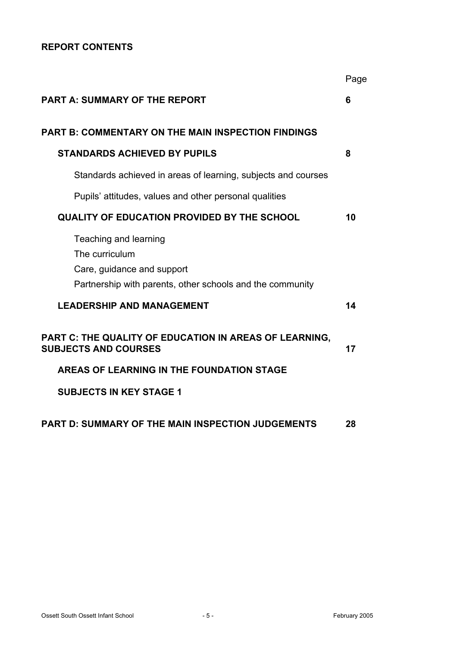# **REPORT CONTENTS**

|                                                                                                                                    | Page |
|------------------------------------------------------------------------------------------------------------------------------------|------|
| <b>PART A: SUMMARY OF THE REPORT</b>                                                                                               | 6    |
| PART B: COMMENTARY ON THE MAIN INSPECTION FINDINGS                                                                                 |      |
| <b>STANDARDS ACHIEVED BY PUPILS</b>                                                                                                | 8    |
| Standards achieved in areas of learning, subjects and courses                                                                      |      |
| Pupils' attitudes, values and other personal qualities                                                                             |      |
| <b>QUALITY OF EDUCATION PROVIDED BY THE SCHOOL</b>                                                                                 | 10   |
| Teaching and learning<br>The curriculum<br>Care, guidance and support<br>Partnership with parents, other schools and the community |      |
| <b>LEADERSHIP AND MANAGEMENT</b>                                                                                                   | 14   |
| PART C: THE QUALITY OF EDUCATION IN AREAS OF LEARNING,<br><b>SUBJECTS AND COURSES</b>                                              | 17   |
| AREAS OF LEARNING IN THE FOUNDATION STAGE                                                                                          |      |
| <b>SUBJECTS IN KEY STAGE 1</b>                                                                                                     |      |
| PART D: SUMMARY OF THE MAIN INSPECTION JUDGEMENTS                                                                                  | 28   |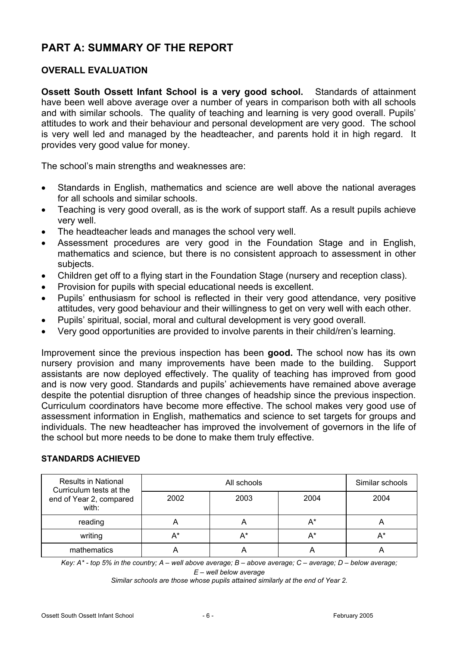# **PART A: SUMMARY OF THE REPORT**

# **OVERALL EVALUATION**

**Ossett South Ossett Infant School is a very good school.** Standards of attainment have been well above average over a number of years in comparison both with all schools and with similar schools. The quality of teaching and learning is very good overall. Pupils' attitudes to work and their behaviour and personal development are very good. The school is very well led and managed by the headteacher, and parents hold it in high regard. It provides very good value for money.

The school's main strengths and weaknesses are:

- Standards in English, mathematics and science are well above the national averages for all schools and similar schools.
- Teaching is very good overall, as is the work of support staff. As a result pupils achieve very well.
- The headteacher leads and manages the school very well.
- Assessment procedures are very good in the Foundation Stage and in English, mathematics and science, but there is no consistent approach to assessment in other subjects.
- Children get off to a flying start in the Foundation Stage (nursery and reception class).
- Provision for pupils with special educational needs is excellent.
- Pupils' enthusiasm for school is reflected in their very good attendance, very positive attitudes, very good behaviour and their willingness to get on very well with each other.
- Pupils' spiritual, social, moral and cultural development is very good overall.
- Very good opportunities are provided to involve parents in their child/ren's learning.

Improvement since the previous inspection has been **good.** The school now has its own nursery provision and many improvements have been made to the building. Support assistants are now deployed effectively. The quality of teaching has improved from good and is now very good. Standards and pupils' achievements have remained above average despite the potential disruption of three changes of headship since the previous inspection. Curriculum coordinators have become more effective. The school makes very good use of assessment information in English, mathematics and science to set targets for groups and individuals. The new headteacher has improved the involvement of governors in the life of the school but more needs to be done to make them truly effective.

| <b>Results in National</b><br>Curriculum tests at the |      | Similar schools |      |      |
|-------------------------------------------------------|------|-----------------|------|------|
| end of Year 2, compared<br>with:                      | 2002 | 2003            | 2004 | 2004 |
| reading                                               |      | Α               | A*   |      |
| writing                                               | A*   | A*              | A*   | A*   |
| mathematics                                           |      |                 |      |      |

### **STANDARDS ACHIEVED**

*Key: A\* - top 5% in the country; A – well above average; B – above average; C – average; D – below average;* 

*E – well below average* 

*Similar schools are those whose pupils attained similarly at the end of Year 2.*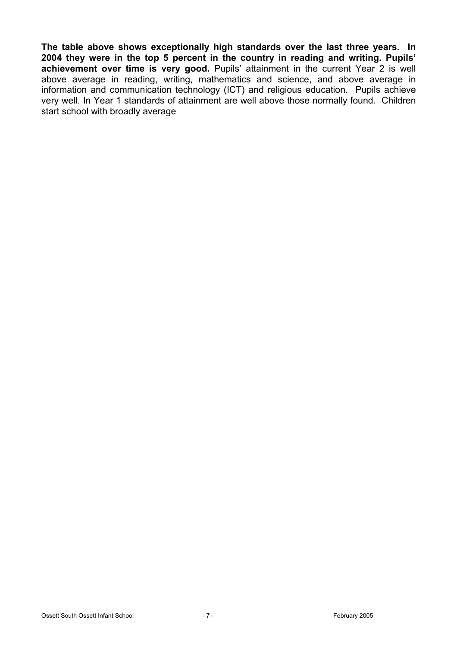**The table above shows exceptionally high standards over the last three years. In 2004 they were in the top 5 percent in the country in reading and writing. Pupils' achievement over time is very good.** Pupils' attainment in the current Year 2 is well above average in reading, writing, mathematics and science, and above average in information and communication technology (ICT) and religious education. Pupils achieve very well. In Year 1 standards of attainment are well above those normally found. Children start school with broadly average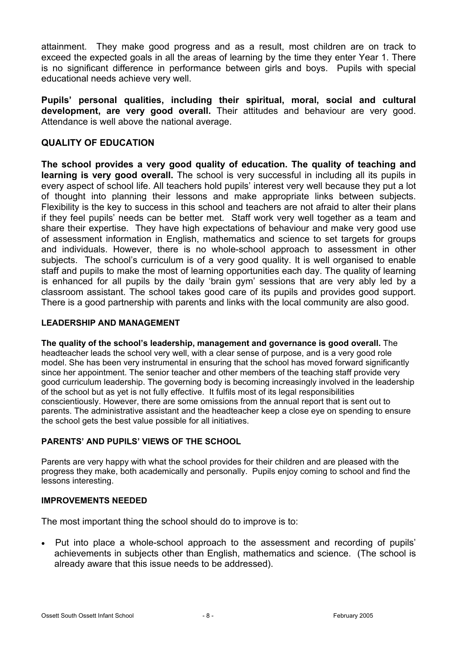attainment. They make good progress and as a result, most children are on track to exceed the expected goals in all the areas of learning by the time they enter Year 1. There is no significant difference in performance between girls and boys. Pupils with special educational needs achieve very well.

**Pupils' personal qualities, including their spiritual, moral, social and cultural development, are very good overall.** Their attitudes and behaviour are very good. Attendance is well above the national average.

# **QUALITY OF EDUCATION**

**The school provides a very good quality of education. The quality of teaching and learning is very good overall.** The school is very successful in including all its pupils in every aspect of school life. All teachers hold pupils' interest very well because they put a lot of thought into planning their lessons and make appropriate links between subjects. Flexibility is the key to success in this school and teachers are not afraid to alter their plans if they feel pupils' needs can be better met. Staff work very well together as a team and share their expertise. They have high expectations of behaviour and make very good use of assessment information in English, mathematics and science to set targets for groups and individuals. However, there is no whole-school approach to assessment in other subjects. The school's curriculum is of a very good quality. It is well organised to enable staff and pupils to make the most of learning opportunities each day. The quality of learning is enhanced for all pupils by the daily 'brain gym' sessions that are very ably led by a classroom assistant. The school takes good care of its pupils and provides good support. There is a good partnership with parents and links with the local community are also good.

#### **LEADERSHIP AND MANAGEMENT**

**The quality of the school's leadership, management and governance is good overall.** The headteacher leads the school very well, with a clear sense of purpose, and is a very good role model. She has been very instrumental in ensuring that the school has moved forward significantly since her appointment. The senior teacher and other members of the teaching staff provide very good curriculum leadership. The governing body is becoming increasingly involved in the leadership of the school but as yet is not fully effective. It fulfils most of its legal responsibilities conscientiously. However, there are some omissions from the annual report that is sent out to parents. The administrative assistant and the headteacher keep a close eye on spending to ensure the school gets the best value possible for all initiatives.

### **PARENTS' AND PUPILS' VIEWS OF THE SCHOOL**

Parents are very happy with what the school provides for their children and are pleased with the progress they make, both academically and personally. Pupils enjoy coming to school and find the lessons interesting.

#### **IMPROVEMENTS NEEDED**

The most important thing the school should do to improve is to:

• Put into place a whole-school approach to the assessment and recording of pupils' achievements in subjects other than English, mathematics and science. (The school is already aware that this issue needs to be addressed).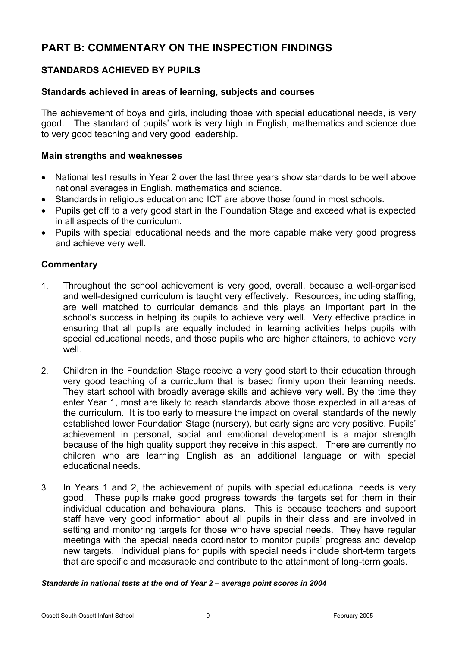# **PART B: COMMENTARY ON THE INSPECTION FINDINGS**

# **STANDARDS ACHIEVED BY PUPILS**

### **Standards achieved in areas of learning, subjects and courses**

The achievement of boys and girls, including those with special educational needs, is very good. The standard of pupils' work is very high in English, mathematics and science due to very good teaching and very good leadership.

### **Main strengths and weaknesses**

- National test results in Year 2 over the last three years show standards to be well above national averages in English, mathematics and science.
- Standards in religious education and ICT are above those found in most schools.
- Pupils get off to a very good start in the Foundation Stage and exceed what is expected in all aspects of the curriculum.
- Pupils with special educational needs and the more capable make very good progress and achieve very well.

## **Commentary**

- 1. Throughout the school achievement is very good, overall, because a well-organised and well-designed curriculum is taught very effectively. Resources, including staffing, are well matched to curricular demands and this plays an important part in the school's success in helping its pupils to achieve very well. Very effective practice in ensuring that all pupils are equally included in learning activities helps pupils with special educational needs, and those pupils who are higher attainers, to achieve very well.
- 2. Children in the Foundation Stage receive a very good start to their education through very good teaching of a curriculum that is based firmly upon their learning needs. They start school with broadly average skills and achieve very well. By the time they enter Year 1, most are likely to reach standards above those expected in all areas of the curriculum. It is too early to measure the impact on overall standards of the newly established lower Foundation Stage (nursery), but early signs are very positive. Pupils' achievement in personal, social and emotional development is a major strength because of the high quality support they receive in this aspect. There are currently no children who are learning English as an additional language or with special educational needs.
- 3. In Years 1 and 2, the achievement of pupils with special educational needs is very good. These pupils make good progress towards the targets set for them in their individual education and behavioural plans. This is because teachers and support staff have very good information about all pupils in their class and are involved in setting and monitoring targets for those who have special needs. They have regular meetings with the special needs coordinator to monitor pupils' progress and develop new targets. Individual plans for pupils with special needs include short-term targets that are specific and measurable and contribute to the attainment of long-term goals.

#### *Standards in national tests at the end of Year 2 – average point scores in 2004*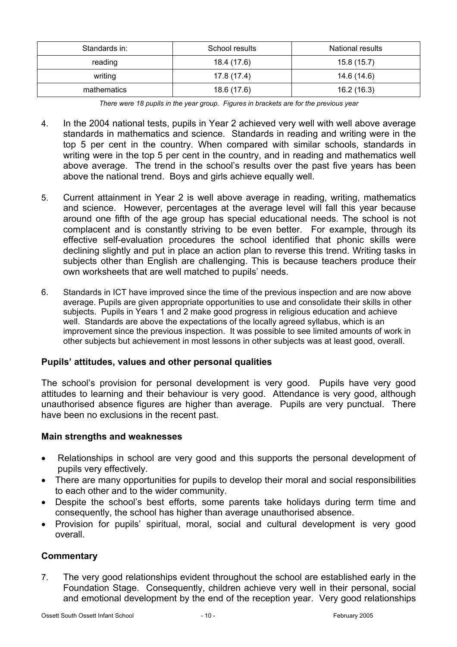| Standards in: | School results | National results |
|---------------|----------------|------------------|
| reading       | 18.4 (17.6)    | 15.8(15.7)       |
| writing       | 17.8 (17.4)    | 14.6 (14.6)      |
| mathematics   | 18.6 (17.6)    | 16.2(16.3)       |

*There were 18 pupils in the year group. Figures in brackets are for the previous year* 

- 4. In the 2004 national tests, pupils in Year 2 achieved very well with well above average standards in mathematics and science. Standards in reading and writing were in the top 5 per cent in the country. When compared with similar schools, standards in writing were in the top 5 per cent in the country, and in reading and mathematics well above average. The trend in the school's results over the past five years has been above the national trend. Boys and girls achieve equally well.
- 5. Current attainment in Year 2 is well above average in reading, writing, mathematics and science. However, percentages at the average level will fall this year because around one fifth of the age group has special educational needs. The school is not complacent and is constantly striving to be even better. For example, through its effective self-evaluation procedures the school identified that phonic skills were declining slightly and put in place an action plan to reverse this trend. Writing tasks in subjects other than English are challenging. This is because teachers produce their own worksheets that are well matched to pupils' needs.
- 6. Standards in ICT have improved since the time of the previous inspection and are now above average. Pupils are given appropriate opportunities to use and consolidate their skills in other subjects. Pupils in Years 1 and 2 make good progress in religious education and achieve well. Standards are above the expectations of the locally agreed syllabus, which is an improvement since the previous inspection. It was possible to see limited amounts of work in other subjects but achievement in most lessons in other subjects was at least good, overall.

### **Pupils' attitudes, values and other personal qualities**

The school's provision for personal development is very good. Pupils have very good attitudes to learning and their behaviour is very good. Attendance is very good, although unauthorised absence figures are higher than average. Pupils are very punctual. There have been no exclusions in the recent past.

### **Main strengths and weaknesses**

- Relationships in school are very good and this supports the personal development of pupils very effectively.
- There are many opportunities for pupils to develop their moral and social responsibilities to each other and to the wider community.
- Despite the school's best efforts, some parents take holidays during term time and consequently, the school has higher than average unauthorised absence.
- Provision for pupils' spiritual, moral, social and cultural development is very good overall.

### **Commentary**

7. The very good relationships evident throughout the school are established early in the Foundation Stage. Consequently, children achieve very well in their personal, social and emotional development by the end of the reception year. Very good relationships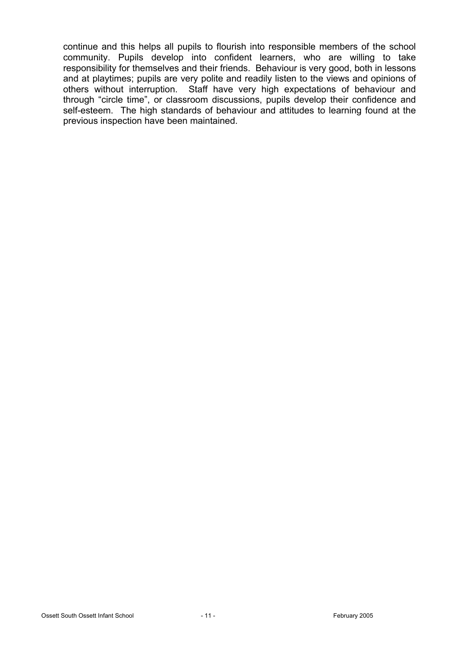continue and this helps all pupils to flourish into responsible members of the school community. Pupils develop into confident learners, who are willing to take responsibility for themselves and their friends. Behaviour is very good, both in lessons and at playtimes; pupils are very polite and readily listen to the views and opinions of others without interruption. Staff have very high expectations of behaviour and through "circle time", or classroom discussions, pupils develop their confidence and self-esteem. The high standards of behaviour and attitudes to learning found at the previous inspection have been maintained.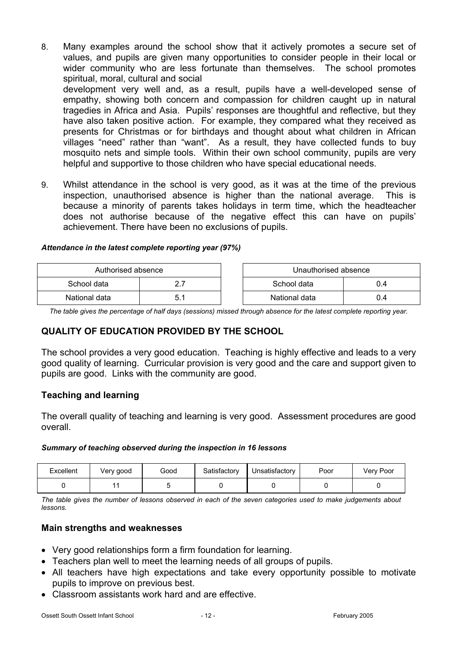- 8. Many examples around the school show that it actively promotes a secure set of values, and pupils are given many opportunities to consider people in their local or wider community who are less fortunate than themselves. The school promotes spiritual, moral, cultural and social development very well and, as a result, pupils have a well-developed sense of empathy, showing both concern and compassion for children caught up in natural tragedies in Africa and Asia. Pupils' responses are thoughtful and reflective, but they have also taken positive action. For example, they compared what they received as presents for Christmas or for birthdays and thought about what children in African villages "need" rather than "want". As a result, they have collected funds to buy mosquito nets and simple tools. Within their own school community, pupils are very helpful and supportive to those children who have special educational needs.
- 9. Whilst attendance in the school is very good, as it was at the time of the previous inspection, unauthorised absence is higher than the national average. This is because a minority of parents takes holidays in term time, which the headteacher does not authorise because of the negative effect this can have on pupils' achievement. There have been no exclusions of pupils.

#### *Attendance in the latest complete reporting year (97%)*

| Authorised absence |  | Unauthorised absence |     |
|--------------------|--|----------------------|-----|
| School data        |  | School data<br>J.4   |     |
| National data      |  | National data        | J.4 |

*The table gives the percentage of half days (sessions) missed through absence for the latest complete reporting year.*

### **QUALITY OF EDUCATION PROVIDED BY THE SCHOOL**

The school provides a very good education. Teaching is highly effective and leads to a very good quality of learning. Curricular provision is very good and the care and support given to pupils are good. Links with the community are good.

### **Teaching and learning**

The overall quality of teaching and learning is very good. Assessment procedures are good overall.

#### *Summary of teaching observed during the inspection in 16 lessons*

| Excellent | Very good | Good | Satisfactory | Unsatisfactory | Poor | Very Poor |
|-----------|-----------|------|--------------|----------------|------|-----------|
|           |           |      |              |                |      |           |

*The table gives the number of lessons observed in each of the seven categories used to make judgements about lessons.* 

### **Main strengths and weaknesses**

- Very good relationships form a firm foundation for learning.
- Teachers plan well to meet the learning needs of all groups of pupils.
- All teachers have high expectations and take every opportunity possible to motivate pupils to improve on previous best.
- Classroom assistants work hard and are effective.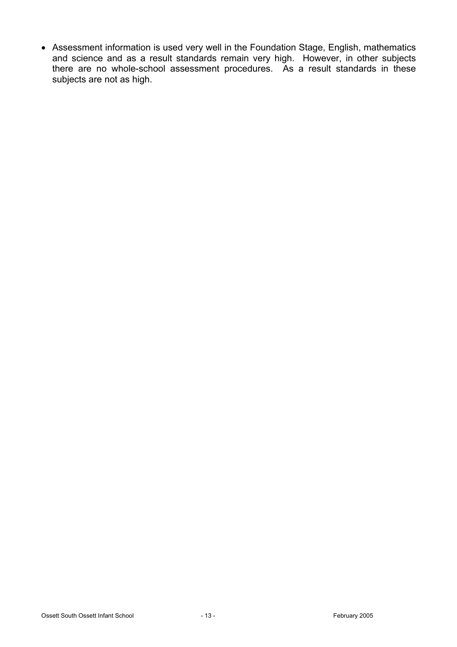• Assessment information is used very well in the Foundation Stage, English, mathematics and science and as a result standards remain very high. However, in other subjects there are no whole-school assessment procedures. As a result standards in these subjects are not as high.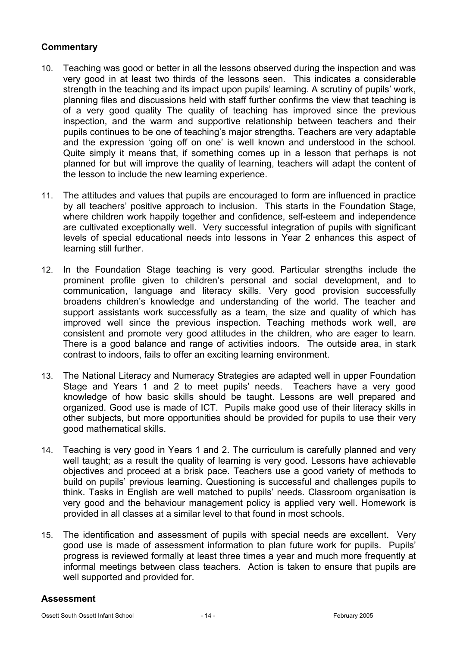# **Commentary**

- 10. Teaching was good or better in all the lessons observed during the inspection and was very good in at least two thirds of the lessons seen. This indicates a considerable strength in the teaching and its impact upon pupils' learning. A scrutiny of pupils' work, planning files and discussions held with staff further confirms the view that teaching is of a very good quality The quality of teaching has improved since the previous inspection, and the warm and supportive relationship between teachers and their pupils continues to be one of teaching's major strengths. Teachers are very adaptable and the expression 'going off on one' is well known and understood in the school. Quite simply it means that, if something comes up in a lesson that perhaps is not planned for but will improve the quality of learning, teachers will adapt the content of the lesson to include the new learning experience.
- 11. The attitudes and values that pupils are encouraged to form are influenced in practice by all teachers' positive approach to inclusion. This starts in the Foundation Stage, where children work happily together and confidence, self-esteem and independence are cultivated exceptionally well. Very successful integration of pupils with significant levels of special educational needs into lessons in Year 2 enhances this aspect of learning still further.
- 12. In the Foundation Stage teaching is very good. Particular strengths include the prominent profile given to children's personal and social development, and to communication, language and literacy skills. Very good provision successfully broadens children's knowledge and understanding of the world. The teacher and support assistants work successfully as a team, the size and quality of which has improved well since the previous inspection. Teaching methods work well, are consistent and promote very good attitudes in the children, who are eager to learn. There is a good balance and range of activities indoors. The outside area, in stark contrast to indoors, fails to offer an exciting learning environment.
- 13. The National Literacy and Numeracy Strategies are adapted well in upper Foundation Stage and Years 1 and 2 to meet pupils' needs. Teachers have a very good knowledge of how basic skills should be taught. Lessons are well prepared and organized. Good use is made of ICT. Pupils make good use of their literacy skills in other subjects, but more opportunities should be provided for pupils to use their very good mathematical skills.
- 14. Teaching is very good in Years 1 and 2. The curriculum is carefully planned and very well taught; as a result the quality of learning is very good. Lessons have achievable objectives and proceed at a brisk pace. Teachers use a good variety of methods to build on pupils' previous learning. Questioning is successful and challenges pupils to think. Tasks in English are well matched to pupils' needs. Classroom organisation is very good and the behaviour management policy is applied very well. Homework is provided in all classes at a similar level to that found in most schools.
- 15. The identification and assessment of pupils with special needs are excellent. Very good use is made of assessment information to plan future work for pupils. Pupils' progress is reviewed formally at least three times a year and much more frequently at informal meetings between class teachers. Action is taken to ensure that pupils are well supported and provided for.

### **Assessment**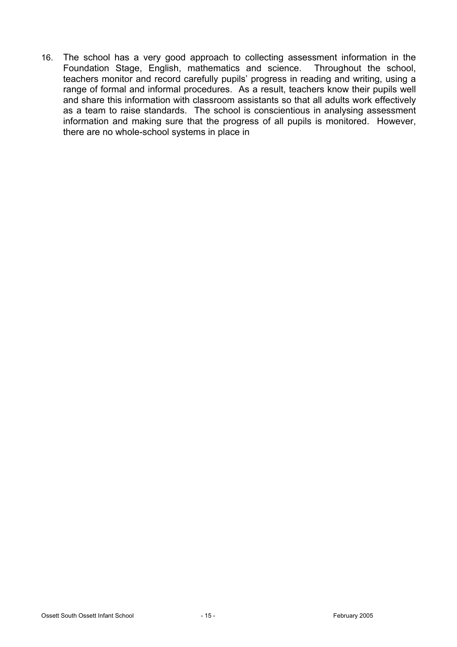16. The school has a very good approach to collecting assessment information in the Foundation Stage, English, mathematics and science. Throughout the school, teachers monitor and record carefully pupils' progress in reading and writing, using a range of formal and informal procedures. As a result, teachers know their pupils well and share this information with classroom assistants so that all adults work effectively as a team to raise standards. The school is conscientious in analysing assessment information and making sure that the progress of all pupils is monitored. However, there are no whole-school systems in place in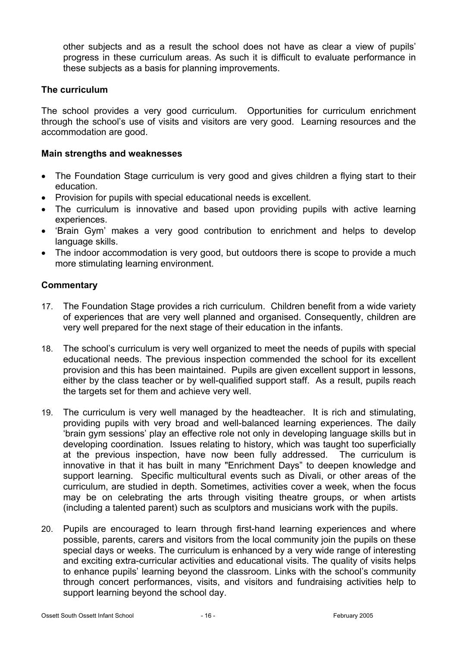other subjects and as a result the school does not have as clear a view of pupils' progress in these curriculum areas. As such it is difficult to evaluate performance in these subjects as a basis for planning improvements.

### **The curriculum**

The school provides a very good curriculum. Opportunities for curriculum enrichment through the school's use of visits and visitors are very good. Learning resources and the accommodation are good.

### **Main strengths and weaknesses**

- The Foundation Stage curriculum is very good and gives children a flying start to their education.
- Provision for pupils with special educational needs is excellent.
- The curriculum is innovative and based upon providing pupils with active learning experiences.
- 'Brain Gym' makes a very good contribution to enrichment and helps to develop language skills.
- The indoor accommodation is very good, but outdoors there is scope to provide a much more stimulating learning environment.

## **Commentary**

- 17. The Foundation Stage provides a rich curriculum. Children benefit from a wide variety of experiences that are very well planned and organised. Consequently, children are very well prepared for the next stage of their education in the infants.
- 18. The school's curriculum is very well organized to meet the needs of pupils with special educational needs. The previous inspection commended the school for its excellent provision and this has been maintained. Pupils are given excellent support in lessons, either by the class teacher or by well-qualified support staff. As a result, pupils reach the targets set for them and achieve very well.
- 19. The curriculum is very well managed by the headteacher. It is rich and stimulating, providing pupils with very broad and well-balanced learning experiences. The daily 'brain gym sessions' play an effective role not only in developing language skills but in developing coordination. Issues relating to history, which was taught too superficially at the previous inspection, have now been fully addressed. The curriculum is innovative in that it has built in many "Enrichment Days" to deepen knowledge and support learning. Specific multicultural events such as Divali, or other areas of the curriculum, are studied in depth. Sometimes, activities cover a week, when the focus may be on celebrating the arts through visiting theatre groups, or when artists (including a talented parent) such as sculptors and musicians work with the pupils.
- 20. Pupils are encouraged to learn through first-hand learning experiences and where possible, parents, carers and visitors from the local community join the pupils on these special days or weeks. The curriculum is enhanced by a very wide range of interesting and exciting extra-curricular activities and educational visits. The quality of visits helps to enhance pupils' learning beyond the classroom. Links with the school's community through concert performances, visits, and visitors and fundraising activities help to support learning beyond the school day.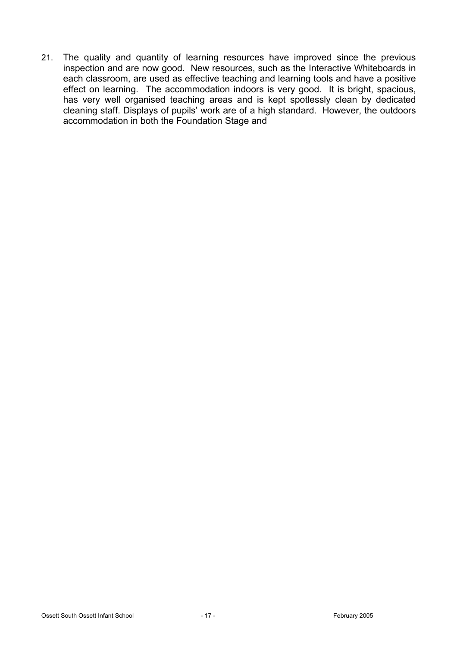21. The quality and quantity of learning resources have improved since the previous inspection and are now good. New resources, such as the Interactive Whiteboards in each classroom, are used as effective teaching and learning tools and have a positive effect on learning. The accommodation indoors is very good. It is bright, spacious, has very well organised teaching areas and is kept spotlessly clean by dedicated cleaning staff. Displays of pupils' work are of a high standard. However, the outdoors accommodation in both the Foundation Stage and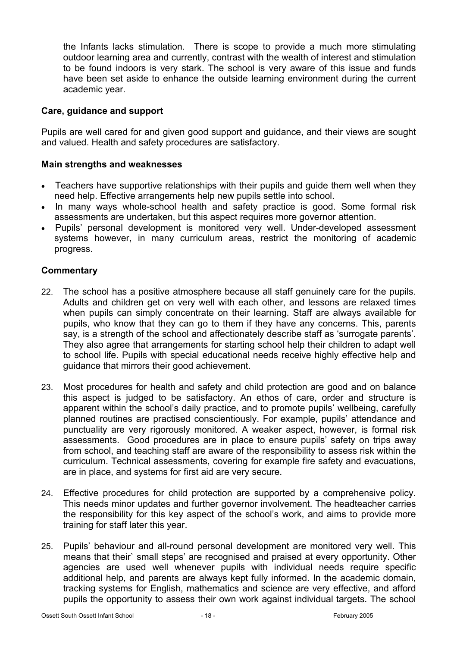the Infants lacks stimulation. There is scope to provide a much more stimulating outdoor learning area and currently, contrast with the wealth of interest and stimulation to be found indoors is very stark. The school is very aware of this issue and funds have been set aside to enhance the outside learning environment during the current academic year.

### **Care, guidance and support**

Pupils are well cared for and given good support and guidance, and their views are sought and valued. Health and safety procedures are satisfactory.

## **Main strengths and weaknesses**

- Teachers have supportive relationships with their pupils and quide them well when they need help. Effective arrangements help new pupils settle into school.
- In many ways whole-school health and safety practice is good. Some formal risk assessments are undertaken, but this aspect requires more governor attention.
- Pupils' personal development is monitored very well. Under-developed assessment systems however, in many curriculum areas, restrict the monitoring of academic progress.

## **Commentary**

- 22. The school has a positive atmosphere because all staff genuinely care for the pupils. Adults and children get on very well with each other, and lessons are relaxed times when pupils can simply concentrate on their learning. Staff are always available for pupils, who know that they can go to them if they have any concerns. This, parents say, is a strength of the school and affectionately describe staff as 'surrogate parents'. They also agree that arrangements for starting school help their children to adapt well to school life. Pupils with special educational needs receive highly effective help and guidance that mirrors their good achievement.
- 23. Most procedures for health and safety and child protection are good and on balance this aspect is judged to be satisfactory. An ethos of care, order and structure is apparent within the school's daily practice, and to promote pupils' wellbeing, carefully planned routines are practised conscientiously. For example, pupils' attendance and punctuality are very rigorously monitored. A weaker aspect, however, is formal risk assessments. Good procedures are in place to ensure pupils' safety on trips away from school, and teaching staff are aware of the responsibility to assess risk within the curriculum. Technical assessments, covering for example fire safety and evacuations, are in place, and systems for first aid are very secure.
- 24. Effective procedures for child protection are supported by a comprehensive policy. This needs minor updates and further governor involvement. The headteacher carries the responsibility for this key aspect of the school's work, and aims to provide more training for staff later this year.
- 25. Pupils' behaviour and all-round personal development are monitored very well. This means that their` small steps' are recognised and praised at every opportunity. Other agencies are used well whenever pupils with individual needs require specific additional help, and parents are always kept fully informed. In the academic domain, tracking systems for English, mathematics and science are very effective, and afford pupils the opportunity to assess their own work against individual targets. The school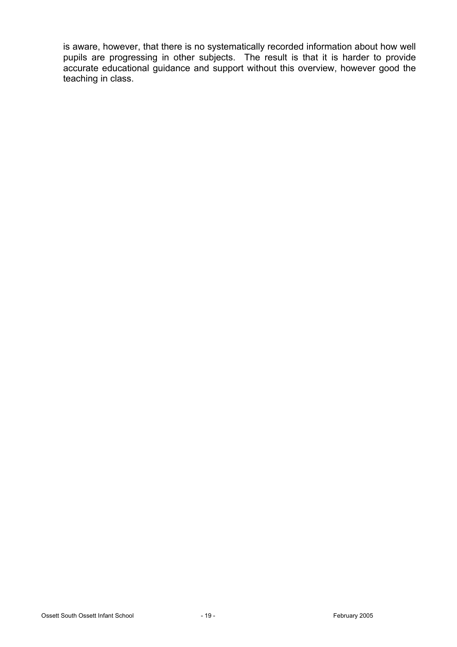is aware, however, that there is no systematically recorded information about how well pupils are progressing in other subjects. The result is that it is harder to provide accurate educational guidance and support without this overview, however good the teaching in class.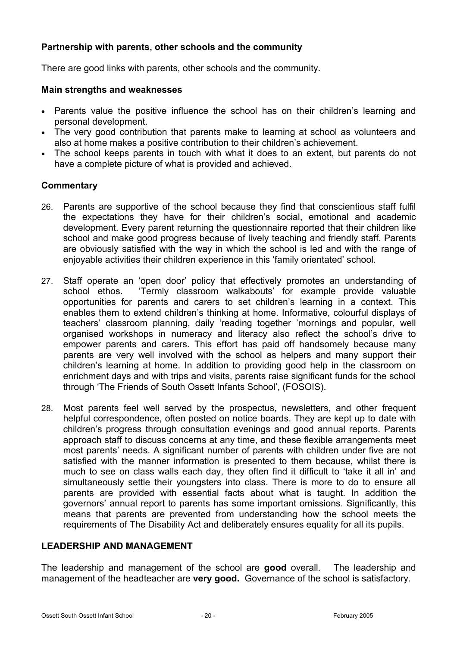## **Partnership with parents, other schools and the community**

There are good links with parents, other schools and the community.

#### **Main strengths and weaknesses**

- Parents value the positive influence the school has on their children's learning and personal development.
- The very good contribution that parents make to learning at school as volunteers and also at home makes a positive contribution to their children's achievement.
- The school keeps parents in touch with what it does to an extent, but parents do not have a complete picture of what is provided and achieved.

### **Commentary**

- 26. Parents are supportive of the school because they find that conscientious staff fulfil the expectations they have for their children's social, emotional and academic development. Every parent returning the questionnaire reported that their children like school and make good progress because of lively teaching and friendly staff. Parents are obviously satisfied with the way in which the school is led and with the range of enjoyable activities their children experience in this 'family orientated' school.
- 27. Staff operate an 'open door' policy that effectively promotes an understanding of school ethos. 'Termly classroom walkabouts' for example provide valuable opportunities for parents and carers to set children's learning in a context. This enables them to extend children's thinking at home. Informative, colourful displays of teachers' classroom planning, daily 'reading together 'mornings and popular, well organised workshops in numeracy and literacy also reflect the school's drive to empower parents and carers. This effort has paid off handsomely because many parents are very well involved with the school as helpers and many support their children's learning at home. In addition to providing good help in the classroom on enrichment days and with trips and visits, parents raise significant funds for the school through 'The Friends of South Ossett Infants School', (FOSOIS).
- 28. Most parents feel well served by the prospectus, newsletters, and other frequent helpful correspondence, often posted on notice boards. They are kept up to date with children's progress through consultation evenings and good annual reports. Parents approach staff to discuss concerns at any time, and these flexible arrangements meet most parents' needs. A significant number of parents with children under five are not satisfied with the manner information is presented to them because, whilst there is much to see on class walls each day, they often find it difficult to 'take it all in' and simultaneously settle their youngsters into class. There is more to do to ensure all parents are provided with essential facts about what is taught. In addition the governors' annual report to parents has some important omissions. Significantly, this means that parents are prevented from understanding how the school meets the requirements of The Disability Act and deliberately ensures equality for all its pupils.

### **LEADERSHIP AND MANAGEMENT**

The leadership and management of the school are **good** overall. The leadership and management of the headteacher are **very good.** Governance of the school is satisfactory.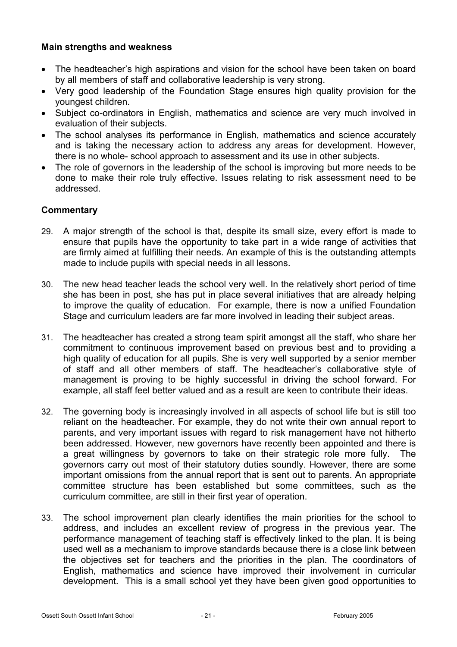### **Main strengths and weakness**

- The headteacher's high aspirations and vision for the school have been taken on board by all members of staff and collaborative leadership is very strong.
- Very good leadership of the Foundation Stage ensures high quality provision for the youngest children.
- Subject co-ordinators in English, mathematics and science are very much involved in evaluation of their subjects.
- The school analyses its performance in English, mathematics and science accurately and is taking the necessary action to address any areas for development. However, there is no whole- school approach to assessment and its use in other subjects.
- The role of governors in the leadership of the school is improving but more needs to be done to make their role truly effective. Issues relating to risk assessment need to be addressed.

# **Commentary**

- 29. A major strength of the school is that, despite its small size, every effort is made to ensure that pupils have the opportunity to take part in a wide range of activities that are firmly aimed at fulfilling their needs. An example of this is the outstanding attempts made to include pupils with special needs in all lessons.
- 30. The new head teacher leads the school very well. In the relatively short period of time she has been in post, she has put in place several initiatives that are already helping to improve the quality of education. For example, there is now a unified Foundation Stage and curriculum leaders are far more involved in leading their subject areas.
- 31. The headteacher has created a strong team spirit amongst all the staff, who share her commitment to continuous improvement based on previous best and to providing a high quality of education for all pupils. She is very well supported by a senior member of staff and all other members of staff. The headteacher's collaborative style of management is proving to be highly successful in driving the school forward. For example, all staff feel better valued and as a result are keen to contribute their ideas.
- 32. The governing body is increasingly involved in all aspects of school life but is still too reliant on the headteacher. For example, they do not write their own annual report to parents, and very important issues with regard to risk management have not hitherto been addressed. However, new governors have recently been appointed and there is a great willingness by governors to take on their strategic role more fully. The governors carry out most of their statutory duties soundly. However, there are some important omissions from the annual report that is sent out to parents. An appropriate committee structure has been established but some committees, such as the curriculum committee, are still in their first year of operation.
- 33. The school improvement plan clearly identifies the main priorities for the school to address, and includes an excellent review of progress in the previous year. The performance management of teaching staff is effectively linked to the plan. It is being used well as a mechanism to improve standards because there is a close link between the objectives set for teachers and the priorities in the plan. The coordinators of English, mathematics and science have improved their involvement in curricular development. This is a small school yet they have been given good opportunities to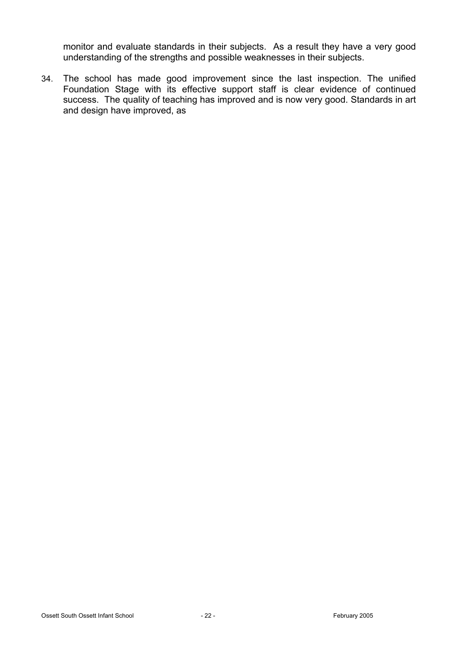monitor and evaluate standards in their subjects. As a result they have a very good understanding of the strengths and possible weaknesses in their subjects.

34. The school has made good improvement since the last inspection. The unified Foundation Stage with its effective support staff is clear evidence of continued success. The quality of teaching has improved and is now very good. Standards in art and design have improved, as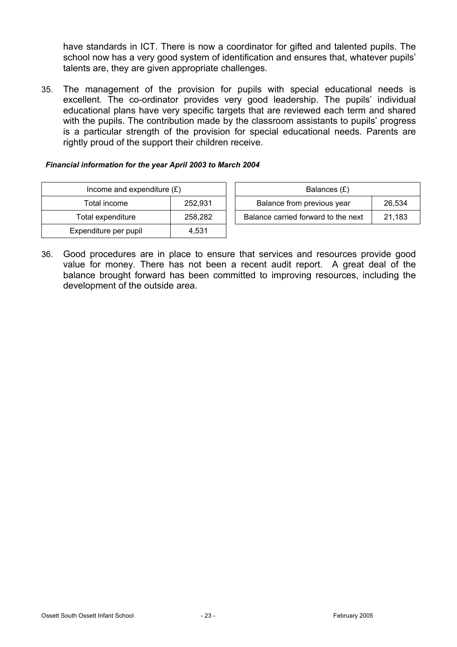have standards in ICT. There is now a coordinator for gifted and talented pupils. The school now has a very good system of identification and ensures that, whatever pupils' talents are, they are given appropriate challenges.

35. The management of the provision for pupils with special educational needs is excellent. The co-ordinator provides very good leadership. The pupils' individual educational plans have very specific targets that are reviewed each term and shared with the pupils. The contribution made by the classroom assistants to pupils' progress is a particular strength of the provision for special educational needs. Parents are rightly proud of the support their children receive.

#### *Financial information for the year April 2003 to March 2004*

| Income and expenditure $(E)$ |         | Balances (£)                     |
|------------------------------|---------|----------------------------------|
| Total income                 | 252,931 | Balance from previous year       |
| Total expenditure            | 258.282 | Balance carried forward to the r |
| Expenditure per pupil        | 4.531   |                                  |

| Income and expenditure $(E)$ |         | Balances (£)                        |        |  |
|------------------------------|---------|-------------------------------------|--------|--|
| Total income                 | 252.931 | Balance from previous year          | 26.534 |  |
| Total expenditure            | 258.282 | Balance carried forward to the next | 21.183 |  |

36. Good procedures are in place to ensure that services and resources provide good value for money. There has not been a recent audit report. A great deal of the balance brought forward has been committed to improving resources, including the development of the outside area.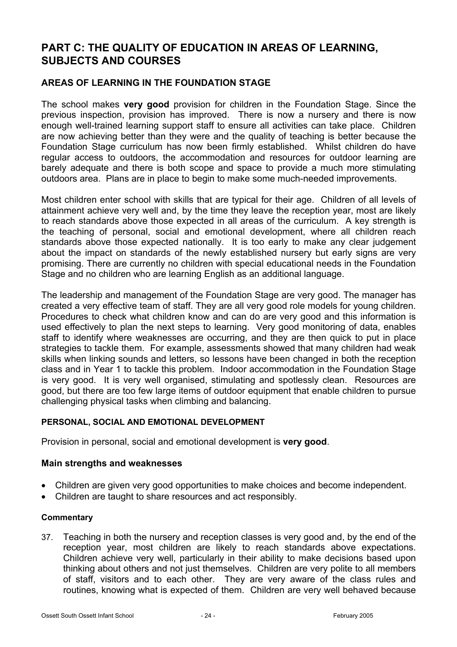# **PART C: THE QUALITY OF EDUCATION IN AREAS OF LEARNING, SUBJECTS AND COURSES**

# **AREAS OF LEARNING IN THE FOUNDATION STAGE**

The school makes **very good** provision for children in the Foundation Stage. Since the previous inspection, provision has improved. There is now a nursery and there is now enough well-trained learning support staff to ensure all activities can take place. Children are now achieving better than they were and the quality of teaching is better because the Foundation Stage curriculum has now been firmly established. Whilst children do have regular access to outdoors, the accommodation and resources for outdoor learning are barely adequate and there is both scope and space to provide a much more stimulating outdoors area. Plans are in place to begin to make some much-needed improvements.

Most children enter school with skills that are typical for their age. Children of all levels of attainment achieve very well and, by the time they leave the reception year, most are likely to reach standards above those expected in all areas of the curriculum. A key strength is the teaching of personal, social and emotional development, where all children reach standards above those expected nationally. It is too early to make any clear judgement about the impact on standards of the newly established nursery but early signs are very promising. There are currently no children with special educational needs in the Foundation Stage and no children who are learning English as an additional language.

The leadership and management of the Foundation Stage are very good. The manager has created a very effective team of staff. They are all very good role models for young children. Procedures to check what children know and can do are very good and this information is used effectively to plan the next steps to learning. Very good monitoring of data, enables staff to identify where weaknesses are occurring, and they are then quick to put in place strategies to tackle them. For example, assessments showed that many children had weak skills when linking sounds and letters, so lessons have been changed in both the reception class and in Year 1 to tackle this problem. Indoor accommodation in the Foundation Stage is very good. It is very well organised, stimulating and spotlessly clean. Resources are good, but there are too few large items of outdoor equipment that enable children to pursue challenging physical tasks when climbing and balancing.

### **PERSONAL, SOCIAL AND EMOTIONAL DEVELOPMENT**

Provision in personal, social and emotional development is **very good**.

#### **Main strengths and weaknesses**

- Children are given very good opportunities to make choices and become independent.
- Children are taught to share resources and act responsibly.

#### **Commentary**

37. Teaching in both the nursery and reception classes is very good and, by the end of the reception year, most children are likely to reach standards above expectations. Children achieve very well, particularly in their ability to make decisions based upon thinking about others and not just themselves. Children are very polite to all members of staff, visitors and to each other. They are very aware of the class rules and routines, knowing what is expected of them. Children are very well behaved because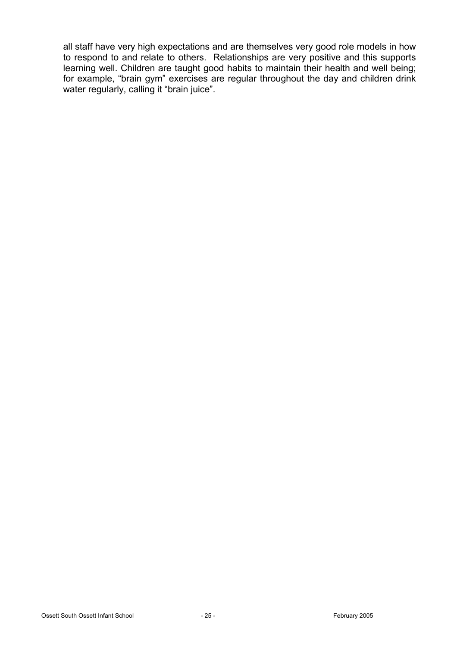all staff have very high expectations and are themselves very good role models in how to respond to and relate to others. Relationships are very positive and this supports learning well. Children are taught good habits to maintain their health and well being; for example, "brain gym" exercises are regular throughout the day and children drink water regularly, calling it "brain juice".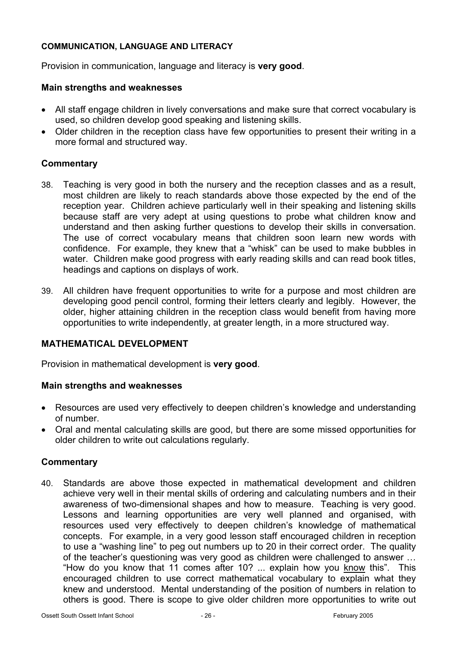### **COMMUNICATION, LANGUAGE AND LITERACY**

Provision in communication, language and literacy is **very good**.

### **Main strengths and weaknesses**

- All staff engage children in lively conversations and make sure that correct vocabulary is used, so children develop good speaking and listening skills.
- Older children in the reception class have few opportunities to present their writing in a more formal and structured way.

### **Commentary**

- 38. Teaching is very good in both the nursery and the reception classes and as a result, most children are likely to reach standards above those expected by the end of the reception year. Children achieve particularly well in their speaking and listening skills because staff are very adept at using questions to probe what children know and understand and then asking further questions to develop their skills in conversation. The use of correct vocabulary means that children soon learn new words with confidence. For example, they knew that a "whisk" can be used to make bubbles in water. Children make good progress with early reading skills and can read book titles, headings and captions on displays of work.
- 39. All children have frequent opportunities to write for a purpose and most children are developing good pencil control, forming their letters clearly and legibly. However, the older, higher attaining children in the reception class would benefit from having more opportunities to write independently, at greater length, in a more structured way.

# **MATHEMATICAL DEVELOPMENT**

Provision in mathematical development is **very good**.

### **Main strengths and weaknesses**

- Resources are used very effectively to deepen children's knowledge and understanding of number.
- Oral and mental calculating skills are good, but there are some missed opportunities for older children to write out calculations regularly.

# **Commentary**

40. Standards are above those expected in mathematical development and children achieve very well in their mental skills of ordering and calculating numbers and in their awareness of two-dimensional shapes and how to measure. Teaching is very good. Lessons and learning opportunities are very well planned and organised, with resources used very effectively to deepen children's knowledge of mathematical concepts. For example, in a very good lesson staff encouraged children in reception to use a "washing line" to peg out numbers up to 20 in their correct order. The quality of the teacher's questioning was very good as children were challenged to answer … "How do you know that 11 comes after 10? ... explain how you know this". This encouraged children to use correct mathematical vocabulary to explain what they knew and understood. Mental understanding of the position of numbers in relation to others is good. There is scope to give older children more opportunities to write out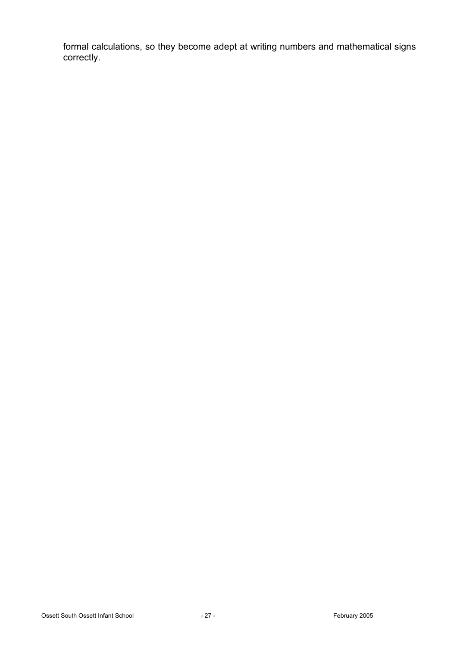formal calculations, so they become adept at writing numbers and mathematical signs correctly.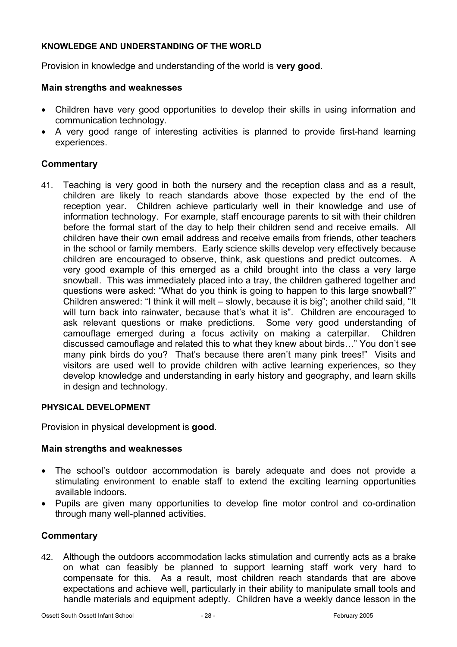### **KNOWLEDGE AND UNDERSTANDING OF THE WORLD**

Provision in knowledge and understanding of the world is **very good**.

#### **Main strengths and weaknesses**

- Children have very good opportunities to develop their skills in using information and communication technology.
- A very good range of interesting activities is planned to provide first-hand learning experiences.

#### **Commentary**

41. Teaching is very good in both the nursery and the reception class and as a result, children are likely to reach standards above those expected by the end of the reception year. Children achieve particularly well in their knowledge and use of information technology. For example, staff encourage parents to sit with their children before the formal start of the day to help their children send and receive emails. All children have their own email address and receive emails from friends, other teachers in the school or family members. Early science skills develop very effectively because children are encouraged to observe, think, ask questions and predict outcomes. A very good example of this emerged as a child brought into the class a very large snowball. This was immediately placed into a tray, the children gathered together and questions were asked: "What do you think is going to happen to this large snowball?" Children answered: "I think it will melt – slowly, because it is big"; another child said, "It will turn back into rainwater, because that's what it is". Children are encouraged to ask relevant questions or make predictions. Some very good understanding of camouflage emerged during a focus activity on making a caterpillar. Children discussed camouflage and related this to what they knew about birds…" You don't see many pink birds do you? That's because there aren't many pink trees!" Visits and visitors are used well to provide children with active learning experiences, so they develop knowledge and understanding in early history and geography, and learn skills in design and technology.

#### **PHYSICAL DEVELOPMENT**

Provision in physical development is **good**.

#### **Main strengths and weaknesses**

- The school's outdoor accommodation is barely adequate and does not provide a stimulating environment to enable staff to extend the exciting learning opportunities available indoors.
- Pupils are given many opportunities to develop fine motor control and co-ordination through many well-planned activities.

### **Commentary**

42. Although the outdoors accommodation lacks stimulation and currently acts as a brake on what can feasibly be planned to support learning staff work very hard to compensate for this. As a result, most children reach standards that are above expectations and achieve well, particularly in their ability to manipulate small tools and handle materials and equipment adeptly. Children have a weekly dance lesson in the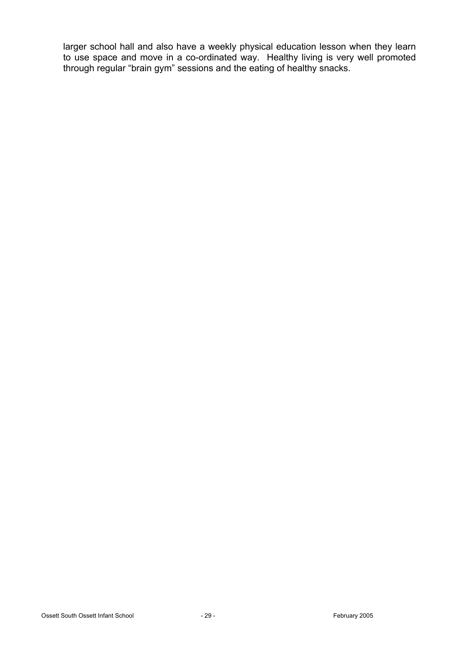larger school hall and also have a weekly physical education lesson when they learn to use space and move in a co-ordinated way. Healthy living is very well promoted through regular "brain gym" sessions and the eating of healthy snacks.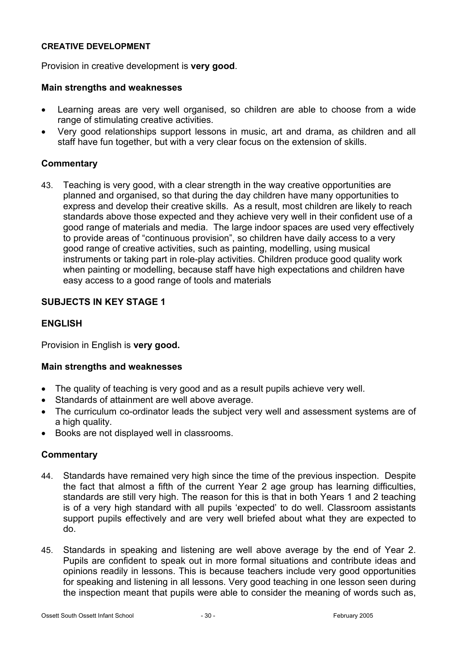### **CREATIVE DEVELOPMENT**

Provision in creative development is **very good**.

#### **Main strengths and weaknesses**

- Learning areas are very well organised, so children are able to choose from a wide range of stimulating creative activities.
- Very good relationships support lessons in music, art and drama, as children and all staff have fun together, but with a very clear focus on the extension of skills.

#### **Commentary**

43. Teaching is very good, with a clear strength in the way creative opportunities are planned and organised, so that during the day children have many opportunities to express and develop their creative skills. As a result, most children are likely to reach standards above those expected and they achieve very well in their confident use of a good range of materials and media. The large indoor spaces are used very effectively to provide areas of "continuous provision", so children have daily access to a very good range of creative activities, such as painting, modelling, using musical instruments or taking part in role-play activities. Children produce good quality work when painting or modelling, because staff have high expectations and children have easy access to a good range of tools and materials

## **SUBJECTS IN KEY STAGE 1**

## **ENGLISH**

Provision in English is **very good.**

#### **Main strengths and weaknesses**

- The quality of teaching is very good and as a result pupils achieve very well.
- Standards of attainment are well above average.
- The curriculum co-ordinator leads the subiect very well and assessment systems are of a high quality.
- Books are not displayed well in classrooms.

### **Commentary**

- 44. Standards have remained very high since the time of the previous inspection. Despite the fact that almost a fifth of the current Year 2 age group has learning difficulties, standards are still very high. The reason for this is that in both Years 1 and 2 teaching is of a very high standard with all pupils 'expected' to do well. Classroom assistants support pupils effectively and are very well briefed about what they are expected to do.
- 45. Standards in speaking and listening are well above average by the end of Year 2. Pupils are confident to speak out in more formal situations and contribute ideas and opinions readily in lessons. This is because teachers include very good opportunities for speaking and listening in all lessons. Very good teaching in one lesson seen during the inspection meant that pupils were able to consider the meaning of words such as,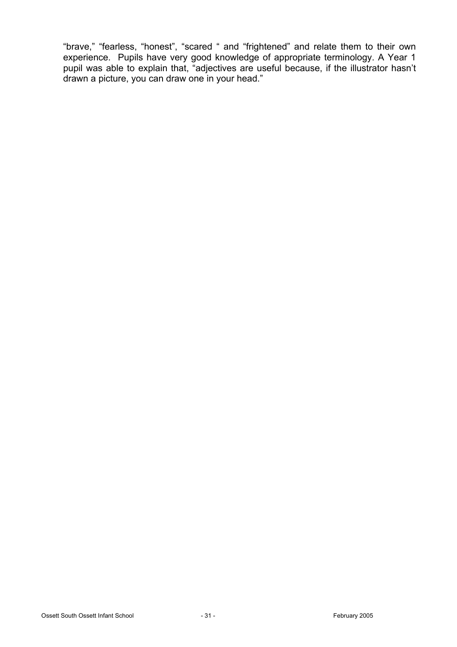"brave," "fearless, "honest", "scared " and "frightened" and relate them to their own experience. Pupils have very good knowledge of appropriate terminology. A Year 1 pupil was able to explain that, "adjectives are useful because, if the illustrator hasn't drawn a picture, you can draw one in your head."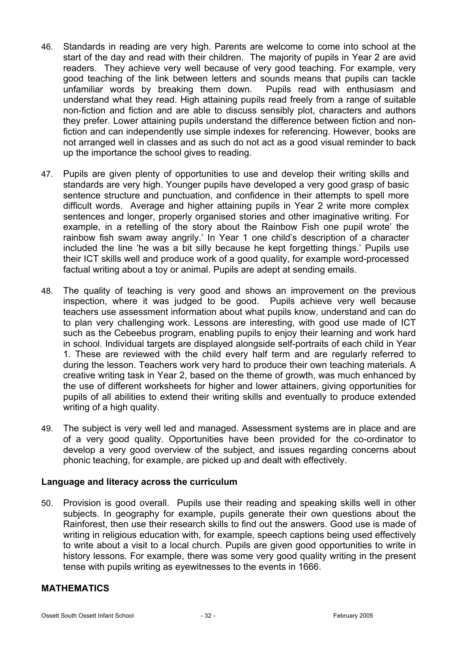- 46. Standards in reading are very high. Parents are welcome to come into school at the start of the day and read with their children. The majority of pupils in Year 2 are avid readers. They achieve very well because of very good teaching. For example, very good teaching of the link between letters and sounds means that pupils can tackle unfamiliar words by breaking them down. Pupils read with enthusiasm and understand what they read. High attaining pupils read freely from a range of suitable non-fiction and fiction and are able to discuss sensibly plot, characters and authors they prefer. Lower attaining pupils understand the difference between fiction and nonfiction and can independently use simple indexes for referencing. However, books are not arranged well in classes and as such do not act as a good visual reminder to back up the importance the school gives to reading.
- 47. Pupils are given plenty of opportunities to use and develop their writing skills and standards are very high. Younger pupils have developed a very good grasp of basic sentence structure and punctuation, and confidence in their attempts to spell more difficult words. Average and higher attaining pupils in Year 2 write more complex sentences and longer, properly organised stories and other imaginative writing. For example, in a retelling of the story about the Rainbow Fish one pupil wrote' the rainbow fish swam away angrily.' In Year 1 one child's description of a character included the line 'he was a bit silly because he kept forgetting things.' Pupils use their ICT skills well and produce work of a good quality, for example word-processed factual writing about a toy or animal. Pupils are adept at sending emails.
- 48. The quality of teaching is very good and shows an improvement on the previous inspection, where it was judged to be good. Pupils achieve very well because teachers use assessment information about what pupils know, understand and can do to plan very challenging work. Lessons are interesting, with good use made of ICT such as the Cebeebus program, enabling pupils to enjoy their learning and work hard in school. Individual targets are displayed alongside self-portraits of each child in Year 1. These are reviewed with the child every half term and are regularly referred to during the lesson. Teachers work very hard to produce their own teaching materials. A creative writing task in Year 2, based on the theme of growth, was much enhanced by the use of different worksheets for higher and lower attainers, giving opportunities for pupils of all abilities to extend their writing skills and eventually to produce extended writing of a high quality.
- 49. The subject is very well led and managed. Assessment systems are in place and are of a very good quality. Opportunities have been provided for the co-ordinator to develop a very good overview of the subject, and issues regarding concerns about phonic teaching, for example, are picked up and dealt with effectively.

### **Language and literacy across the curriculum**

50. Provision is good overall. Pupils use their reading and speaking skills well in other subjects. In geography for example, pupils generate their own questions about the Rainforest, then use their research skills to find out the answers. Good use is made of writing in religious education with, for example, speech captions being used effectively to write about a visit to a local church. Pupils are given good opportunities to write in history lessons. For example, there was some very good quality writing in the present tense with pupils writing as eyewitnesses to the events in 1666.

#### **MATHEMATICS**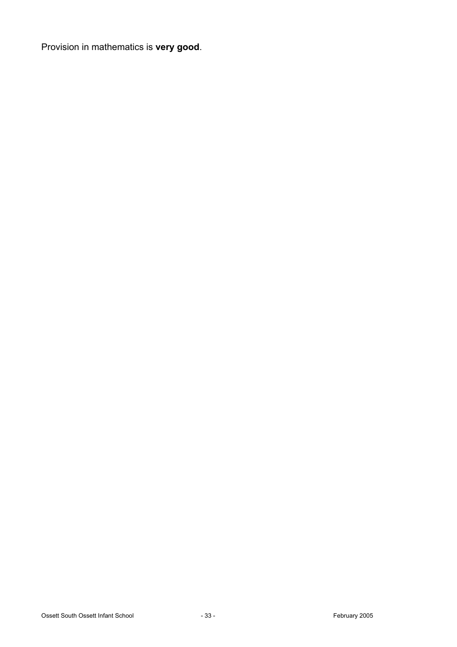Provision in mathematics is **very good**.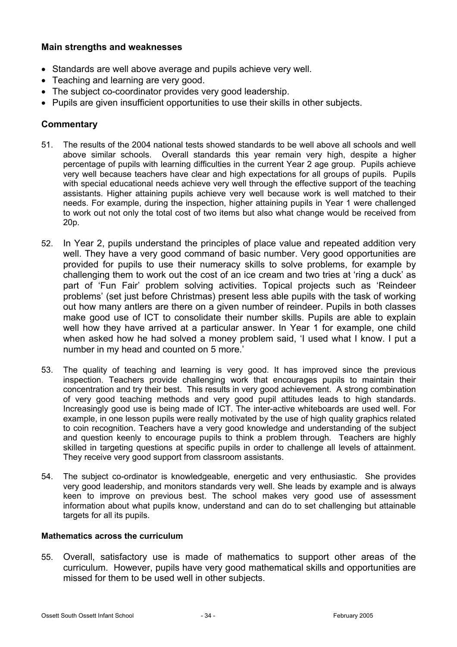### **Main strengths and weaknesses**

- Standards are well above average and pupils achieve very well.
- Teaching and learning are very good.
- The subject co-coordinator provides very good leadership.
- Pupils are given insufficient opportunities to use their skills in other subjects.

# **Commentary**

- 51. The results of the 2004 national tests showed standards to be well above all schools and well above similar schools. Overall standards this year remain very high, despite a higher percentage of pupils with learning difficulties in the current Year 2 age group. Pupils achieve very well because teachers have clear and high expectations for all groups of pupils. Pupils with special educational needs achieve very well through the effective support of the teaching assistants. Higher attaining pupils achieve very well because work is well matched to their needs. For example, during the inspection, higher attaining pupils in Year 1 were challenged to work out not only the total cost of two items but also what change would be received from 20p.
- 52. In Year 2, pupils understand the principles of place value and repeated addition very well. They have a very good command of basic number. Very good opportunities are provided for pupils to use their numeracy skills to solve problems, for example by challenging them to work out the cost of an ice cream and two tries at 'ring a duck' as part of 'Fun Fair' problem solving activities. Topical projects such as 'Reindeer problems' (set just before Christmas) present less able pupils with the task of working out how many antlers are there on a given number of reindeer. Pupils in both classes make good use of ICT to consolidate their number skills. Pupils are able to explain well how they have arrived at a particular answer. In Year 1 for example, one child when asked how he had solved a money problem said, 'I used what I know. I put a number in my head and counted on 5 more.'
- 53. The quality of teaching and learning is very good. It has improved since the previous inspection. Teachers provide challenging work that encourages pupils to maintain their concentration and try their best. This results in very good achievement. A strong combination of very good teaching methods and very good pupil attitudes leads to high standards. Increasingly good use is being made of ICT. The inter-active whiteboards are used well. For example, in one lesson pupils were really motivated by the use of high quality graphics related to coin recognition. Teachers have a very good knowledge and understanding of the subject and question keenly to encourage pupils to think a problem through. Teachers are highly skilled in targeting questions at specific pupils in order to challenge all levels of attainment. They receive very good support from classroom assistants.
- 54. The subject co-ordinator is knowledgeable, energetic and very enthusiastic. She provides very good leadership, and monitors standards very well. She leads by example and is always keen to improve on previous best. The school makes very good use of assessment information about what pupils know, understand and can do to set challenging but attainable targets for all its pupils.

#### **Mathematics across the curriculum**

55. Overall, satisfactory use is made of mathematics to support other areas of the curriculum. However, pupils have very good mathematical skills and opportunities are missed for them to be used well in other subjects.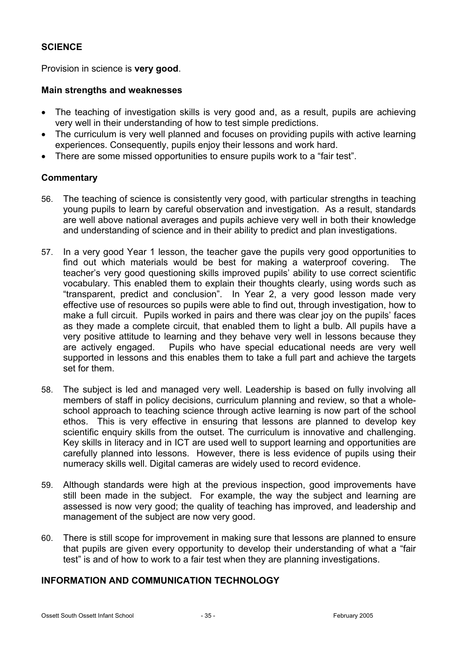# **SCIENCE**

Provision in science is **very good**.

### **Main strengths and weaknesses**

- The teaching of investigation skills is very good and, as a result, pupils are achieving very well in their understanding of how to test simple predictions.
- The curriculum is very well planned and focuses on providing pupils with active learning experiences. Consequently, pupils enjoy their lessons and work hard.
- There are some missed opportunities to ensure pupils work to a "fair test".

### **Commentary**

- 56. The teaching of science is consistently very good, with particular strengths in teaching young pupils to learn by careful observation and investigation. As a result, standards are well above national averages and pupils achieve very well in both their knowledge and understanding of science and in their ability to predict and plan investigations.
- 57. In a very good Year 1 lesson, the teacher gave the pupils very good opportunities to find out which materials would be best for making a waterproof covering. The teacher's very good questioning skills improved pupils' ability to use correct scientific vocabulary. This enabled them to explain their thoughts clearly, using words such as "transparent, predict and conclusion". In Year 2, a very good lesson made very effective use of resources so pupils were able to find out, through investigation, how to make a full circuit. Pupils worked in pairs and there was clear joy on the pupils' faces as they made a complete circuit, that enabled them to light a bulb. All pupils have a very positive attitude to learning and they behave very well in lessons because they are actively engaged. Pupils who have special educational needs are very well supported in lessons and this enables them to take a full part and achieve the targets set for them.
- 58. The subject is led and managed very well. Leadership is based on fully involving all members of staff in policy decisions, curriculum planning and review, so that a wholeschool approach to teaching science through active learning is now part of the school ethos. This is very effective in ensuring that lessons are planned to develop key scientific enquiry skills from the outset. The curriculum is innovative and challenging. Key skills in literacy and in ICT are used well to support learning and opportunities are carefully planned into lessons. However, there is less evidence of pupils using their numeracy skills well. Digital cameras are widely used to record evidence.
- 59. Although standards were high at the previous inspection, good improvements have still been made in the subject. For example, the way the subject and learning are assessed is now very good; the quality of teaching has improved, and leadership and management of the subject are now very good.
- 60. There is still scope for improvement in making sure that lessons are planned to ensure that pupils are given every opportunity to develop their understanding of what a "fair test" is and of how to work to a fair test when they are planning investigations.

# **INFORMATION AND COMMUNICATION TECHNOLOGY**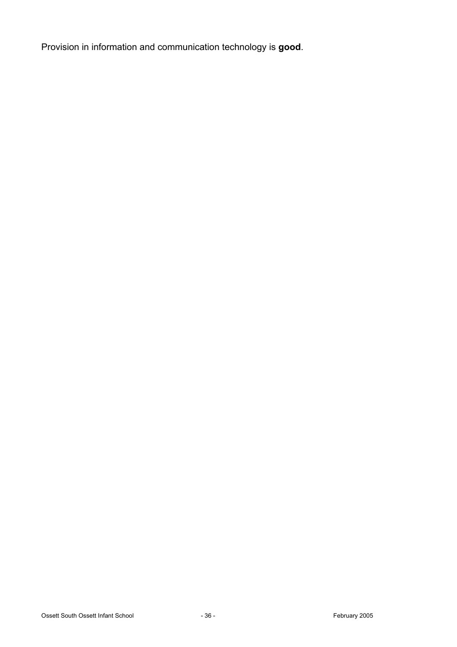Provision in information and communication technology is **good**.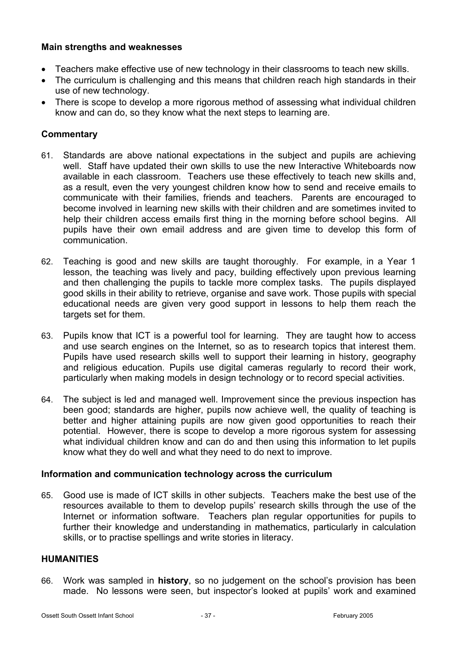### **Main strengths and weaknesses**

- Teachers make effective use of new technology in their classrooms to teach new skills.
- The curriculum is challenging and this means that children reach high standards in their use of new technology.
- There is scope to develop a more rigorous method of assessing what individual children know and can do, so they know what the next steps to learning are.

# **Commentary**

- 61. Standards are above national expectations in the subject and pupils are achieving well. Staff have updated their own skills to use the new Interactive Whiteboards now available in each classroom. Teachers use these effectively to teach new skills and, as a result, even the very youngest children know how to send and receive emails to communicate with their families, friends and teachers. Parents are encouraged to become involved in learning new skills with their children and are sometimes invited to help their children access emails first thing in the morning before school begins. All pupils have their own email address and are given time to develop this form of communication.
- 62. Teaching is good and new skills are taught thoroughly. For example, in a Year 1 lesson, the teaching was lively and pacy, building effectively upon previous learning and then challenging the pupils to tackle more complex tasks. The pupils displayed good skills in their ability to retrieve, organise and save work. Those pupils with special educational needs are given very good support in lessons to help them reach the targets set for them.
- 63. Pupils know that ICT is a powerful tool for learning. They are taught how to access and use search engines on the Internet, so as to research topics that interest them. Pupils have used research skills well to support their learning in history, geography and religious education. Pupils use digital cameras regularly to record their work, particularly when making models in design technology or to record special activities.
- 64. The subject is led and managed well. Improvement since the previous inspection has been good; standards are higher, pupils now achieve well, the quality of teaching is better and higher attaining pupils are now given good opportunities to reach their potential. However, there is scope to develop a more rigorous system for assessing what individual children know and can do and then using this information to let pupils know what they do well and what they need to do next to improve.

### **Information and communication technology across the curriculum**

65. Good use is made of ICT skills in other subjects. Teachers make the best use of the resources available to them to develop pupils' research skills through the use of the Internet or information software. Teachers plan regular opportunities for pupils to further their knowledge and understanding in mathematics, particularly in calculation skills, or to practise spellings and write stories in literacy.

### **HUMANITIES**

66. Work was sampled in **history**, so no judgement on the school's provision has been made. No lessons were seen, but inspector's looked at pupils' work and examined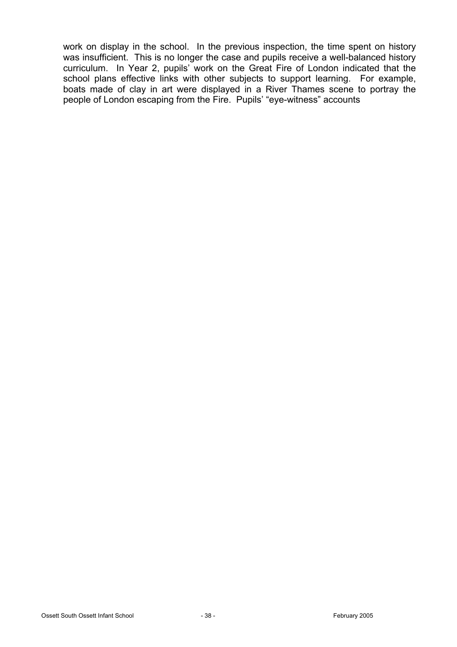work on display in the school. In the previous inspection, the time spent on history was insufficient. This is no longer the case and pupils receive a well-balanced history curriculum. In Year 2, pupils' work on the Great Fire of London indicated that the school plans effective links with other subjects to support learning. For example, boats made of clay in art were displayed in a River Thames scene to portray the people of London escaping from the Fire. Pupils' "eye-witness" accounts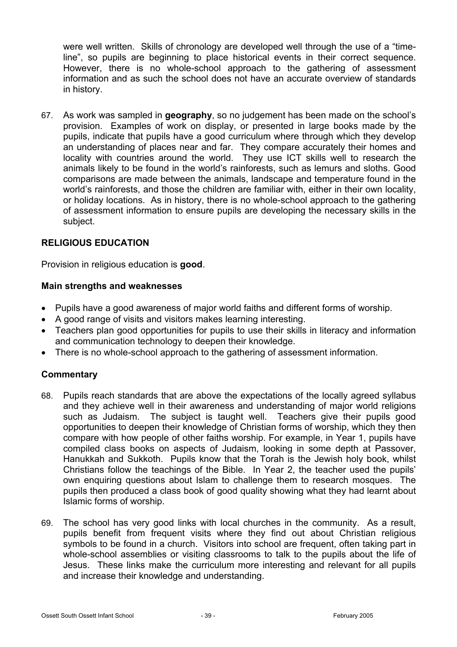were well written. Skills of chronology are developed well through the use of a "timeline", so pupils are beginning to place historical events in their correct sequence. However, there is no whole-school approach to the gathering of assessment information and as such the school does not have an accurate overview of standards in history.

67. As work was sampled in **geography**, so no judgement has been made on the school's provision. Examples of work on display, or presented in large books made by the pupils, indicate that pupils have a good curriculum where through which they develop an understanding of places near and far. They compare accurately their homes and locality with countries around the world. They use ICT skills well to research the animals likely to be found in the world's rainforests, such as lemurs and sloths. Good comparisons are made between the animals, landscape and temperature found in the world's rainforests, and those the children are familiar with, either in their own locality, or holiday locations. As in history, there is no whole-school approach to the gathering of assessment information to ensure pupils are developing the necessary skills in the subject.

### **RELIGIOUS EDUCATION**

Provision in religious education is **good**.

#### **Main strengths and weaknesses**

- Pupils have a good awareness of major world faiths and different forms of worship.
- A good range of visits and visitors makes learning interesting.
- Teachers plan good opportunities for pupils to use their skills in literacy and information and communication technology to deepen their knowledge.
- There is no whole-school approach to the gathering of assessment information.

### **Commentary**

- 68. Pupils reach standards that are above the expectations of the locally agreed syllabus and they achieve well in their awareness and understanding of major world religions such as Judaism. The subject is taught well. Teachers give their pupils good opportunities to deepen their knowledge of Christian forms of worship, which they then compare with how people of other faiths worship. For example, in Year 1, pupils have compiled class books on aspects of Judaism, looking in some depth at Passover, Hanukkah and Sukkoth. Pupils know that the Torah is the Jewish holy book, whilst Christians follow the teachings of the Bible. In Year 2, the teacher used the pupils' own enquiring questions about Islam to challenge them to research mosques. The pupils then produced a class book of good quality showing what they had learnt about Islamic forms of worship.
- 69. The school has very good links with local churches in the community. As a result, pupils benefit from frequent visits where they find out about Christian religious symbols to be found in a church. Visitors into school are frequent, often taking part in whole-school assemblies or visiting classrooms to talk to the pupils about the life of Jesus. These links make the curriculum more interesting and relevant for all pupils and increase their knowledge and understanding.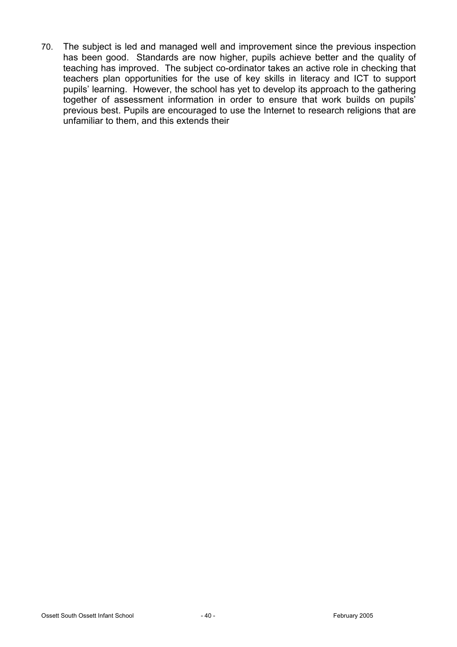70. The subject is led and managed well and improvement since the previous inspection has been good. Standards are now higher, pupils achieve better and the quality of teaching has improved. The subject co-ordinator takes an active role in checking that teachers plan opportunities for the use of key skills in literacy and ICT to support pupils' learning. However, the school has yet to develop its approach to the gathering together of assessment information in order to ensure that work builds on pupils' previous best. Pupils are encouraged to use the Internet to research religions that are unfamiliar to them, and this extends their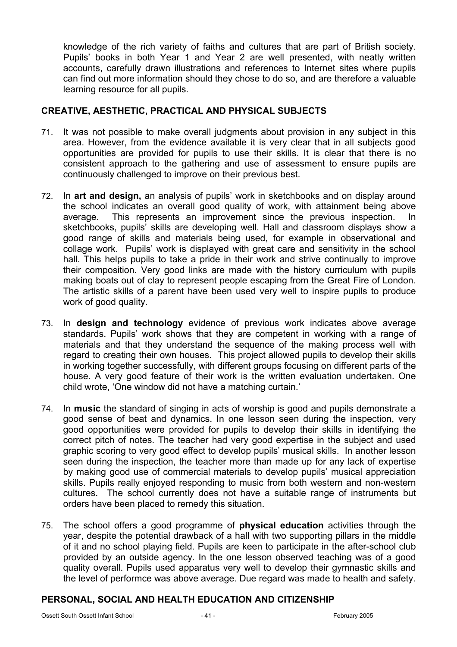knowledge of the rich variety of faiths and cultures that are part of British society. Pupils' books in both Year 1 and Year 2 are well presented, with neatly written accounts, carefully drawn illustrations and references to Internet sites where pupils can find out more information should they chose to do so, and are therefore a valuable learning resource for all pupils.

# **CREATIVE, AESTHETIC, PRACTICAL AND PHYSICAL SUBJECTS**

- 71. It was not possible to make overall judgments about provision in any subject in this area. However, from the evidence available it is very clear that in all subjects good opportunities are provided for pupils to use their skills. It is clear that there is no consistent approach to the gathering and use of assessment to ensure pupils are continuously challenged to improve on their previous best.
- 72. In **art and design,** an analysis of pupils' work in sketchbooks and on display around the school indicates an overall good quality of work, with attainment being above average. This represents an improvement since the previous inspection. In sketchbooks, pupils' skills are developing well. Hall and classroom displays show a good range of skills and materials being used, for example in observational and collage work. Pupils' work is displayed with great care and sensitivity in the school hall. This helps pupils to take a pride in their work and strive continually to improve their composition. Very good links are made with the history curriculum with pupils making boats out of clay to represent people escaping from the Great Fire of London. The artistic skills of a parent have been used very well to inspire pupils to produce work of good quality.
- 73. In **design and technology** evidence of previous work indicates above average standards. Pupils' work shows that they are competent in working with a range of materials and that they understand the sequence of the making process well with regard to creating their own houses. This project allowed pupils to develop their skills in working together successfully, with different groups focusing on different parts of the house. A very good feature of their work is the written evaluation undertaken. One child wrote, 'One window did not have a matching curtain.'
- 74. In **music** the standard of singing in acts of worship is good and pupils demonstrate a good sense of beat and dynamics. In one lesson seen during the inspection, very good opportunities were provided for pupils to develop their skills in identifying the correct pitch of notes. The teacher had very good expertise in the subject and used graphic scoring to very good effect to develop pupils' musical skills. In another lesson seen during the inspection, the teacher more than made up for any lack of expertise by making good use of commercial materials to develop pupils' musical appreciation skills. Pupils really enjoyed responding to music from both western and non-western cultures. The school currently does not have a suitable range of instruments but orders have been placed to remedy this situation.
- 75. The school offers a good programme of **physical education** activities through the year, despite the potential drawback of a hall with two supporting pillars in the middle of it and no school playing field. Pupils are keen to participate in the after-school club provided by an outside agency. In the one lesson observed teaching was of a good quality overall. Pupils used apparatus very well to develop their gymnastic skills and the level of performce was above average. Due regard was made to health and safety.

# **PERSONAL, SOCIAL AND HEALTH EDUCATION AND CITIZENSHIP**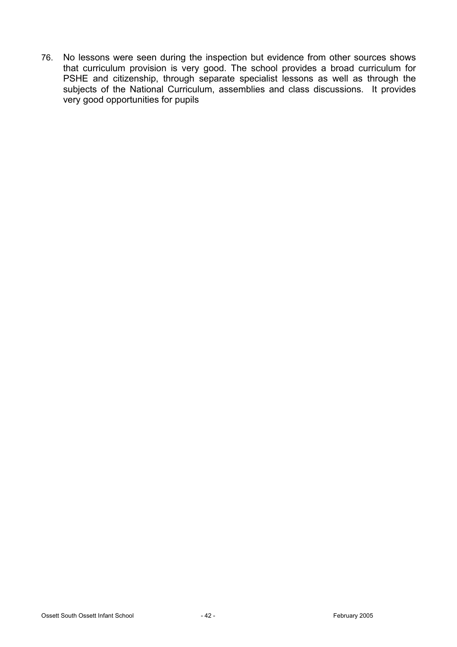76. No lessons were seen during the inspection but evidence from other sources shows that curriculum provision is very good. The school provides a broad curriculum for PSHE and citizenship, through separate specialist lessons as well as through the subjects of the National Curriculum, assemblies and class discussions. It provides very good opportunities for pupils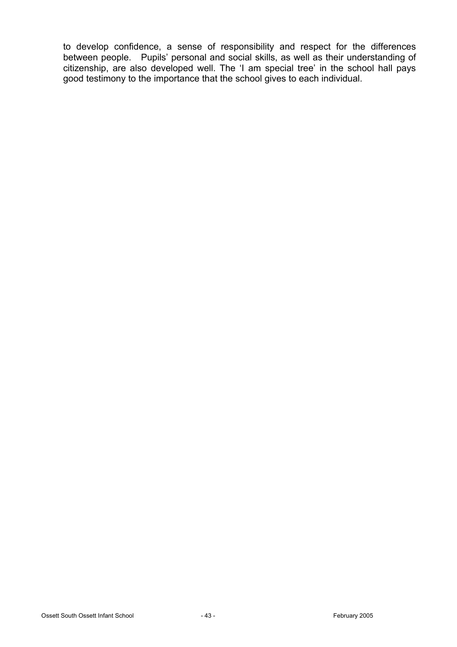to develop confidence, a sense of responsibility and respect for the differences between people. Pupils' personal and social skills, as well as their understanding of citizenship, are also developed well. The 'I am special tree' in the school hall pays good testimony to the importance that the school gives to each individual.